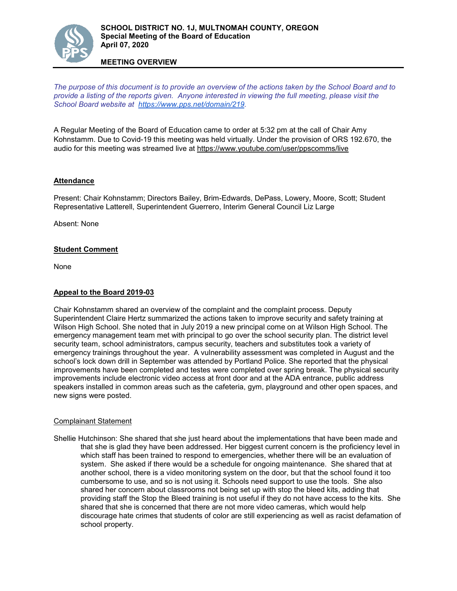

# **MEETING OVERVIEW**

*The purpose of this document is to provide an overview of the actions taken by the School Board and to provide a listing of the reports given. Anyone interested in viewing the full meeting, please visit the School Board website at [https://www.pps.net/domain/219.](https://www.pps.net/domain/219)*

A Regular Meeting of the Board of Education came to order at 5:32 pm at the call of Chair Amy Kohnstamm. Due to Covid-19 this meeting was held virtually. Under the provision of ORS 192.670, the audio for this meeting was streamed live at <https://www.youtube.com/user/ppscomms/live>

## **Attendance**

Present: Chair Kohnstamm; Directors Bailey, Brim-Edwards, DePass, Lowery, Moore, Scott; Student Representative Latterell, Superintendent Guerrero, Interim General Council Liz Large

Absent: None

#### **Student Comment**

None

#### **Appeal to the Board 2019-03**

Chair Kohnstamm shared an overview of the complaint and the complaint process. Deputy Superintendent Claire Hertz summarized the actions taken to improve security and safety training at Wilson High School. She noted that in July 2019 a new principal come on at Wilson High School. The emergency management team met with principal to go over the school security plan. The district level security team, school administrators, campus security, teachers and substitutes took a variety of emergency trainings throughout the year. A vulnerability assessment was completed in August and the school's lock down drill in September was attended by Portland Police. She reported that the physical improvements have been completed and testes were completed over spring break. The physical security improvements include electronic video access at front door and at the ADA entrance, public address speakers installed in common areas such as the cafeteria, gym, playground and other open spaces, and new signs were posted.

#### Complainant Statement

Shellie Hutchinson: She shared that she just heard about the implementations that have been made and that she is glad they have been addressed. Her biggest current concern is the proficiency level in which staff has been trained to respond to emergencies, whether there will be an evaluation of system. She asked if there would be a schedule for ongoing maintenance. She shared that at another school, there is a video monitoring system on the door, but that the school found it too cumbersome to use, and so is not using it. Schools need support to use the tools. She also shared her concern about classrooms not being set up with stop the bleed kits, adding that providing staff the Stop the Bleed training is not useful if they do not have access to the kits. She shared that she is concerned that there are not more video cameras, which would help discourage hate crimes that students of color are still experiencing as well as racist defamation of school property.